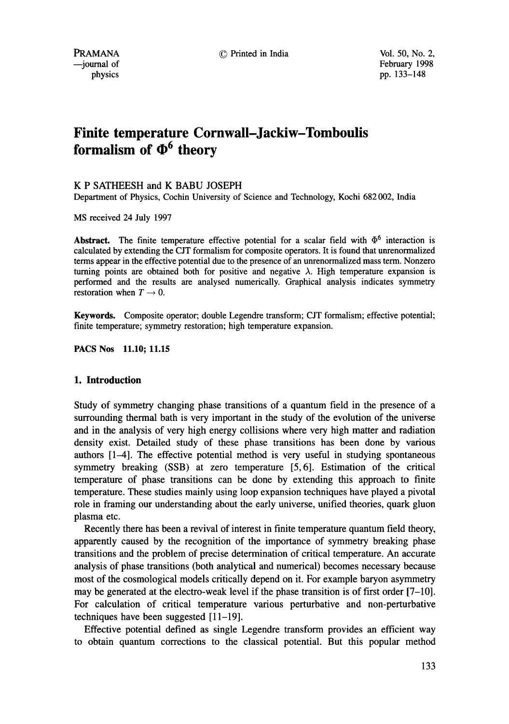PRAMANA © Printed in India Vol. 50, No. 2, February 1998 physics pp. 133–148

# **Finite temperature Cornwall-Jackiw-Tomboulis formalism of**  $\Phi^6$  **theory**

## K P SATHEESH and K BABU JOSEPH

Department of Physics, Cochin University of Science and Technology, Kochi 682 002, India

MS received 24 July 1997

Abstract. The finite temperature effective potential for a scalar field with  $\Phi^6$  interaction is calculated by extending the CJT formalism for composite operators. It is found that unrenormalized terms appear in the effective potential due to the presence of an unrenormalized mass term. Nonzero turning points are obtained both for positive and negative  $\lambda$ . High temperature expansion is performed and the results are analysed numerically. Graphical analysis indicates symmetry restoration when  $T \rightarrow 0$ .

Keywords. Composite operator; double Legendre transform; CJT formalism; effective potential; finite temperature; symmetry restoration; high temperature expansion.

PACS Nos 11.10; 11.15

## **1. Introduction**

Study of symmetry changing phase transitions of a quantum field in the presence of a surrounding thermal bath is very important in the study of the evolution of the universe and in the analysis of very high energy collisions where very high matter and radiation density exist. Detailed study of these phase transitions has been done by various authors [1-4]. The effective potential method is very useful in studying spontaneous symmetry breaking (SSB) at zero temperature [5,6]. Estimation of the critical temperature of phase transitions can be done by extending this approach to finite temperature. These studies mainly using loop expansion techniques have played a pivotal role in framing our understanding about the early universe, unified theories, quark gluon plasma etc.

Recently there has been a revival of interest in finite temperature quantum field theory, apparently caused by the recognition of the importance of symmetry breaking phase transitions and the problem of precise determination of critical temperature. An accurate analysis of phase transitions (both analytical and numerical) becomes necessary because most of the cosmological models critically depend on it. For example baryon asymmetry may be generated at the electro-weak level if the phase transition is of first order [7-10]. For calculation of critical temperature various perturbative and non-perturbative techniques have been suggested [11-19].

Effective potential defined as single Legendre transform provides an efficient way to obtain quantum corrections to the classical potential. But this popular method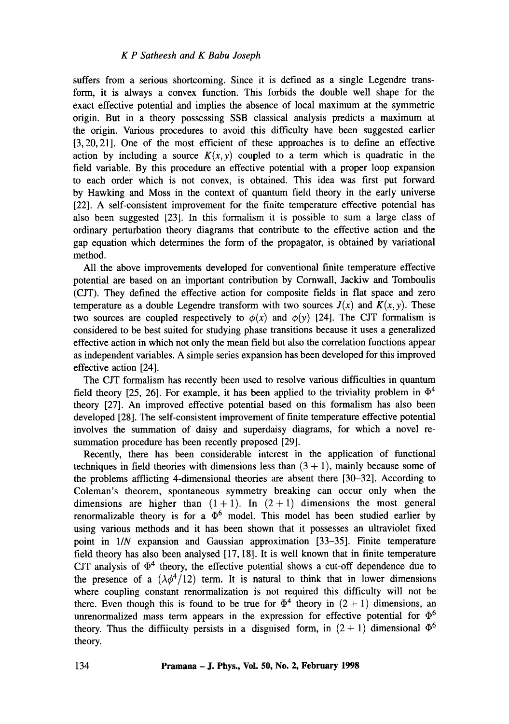suffers from a serious shortcoming. Since it is defined as a single Legendre transform, it is always a convex function. This forbids the double well shape for the exact effective potential and implies the absence of local maximum at the symmetric origin. But in a theory possessing SSB classical analysis predicts a maximum at the origin. Various procedures to avoid this difficulty have been suggested earlier [3,20,21]. One of the most efficient of these approaches is to define an effective action by including a source  $K(x, y)$  coupled to a term which is quadratic in the field variable. By this procedure an effective potential with a proper loop expansion to each order which is not convex, is obtained. This idea was first put forward by Hawking and Moss in the context of quantum field theory in the early universe [22]. A self-consistent improvement for the finite temperature effective potential has also been suggested [23]. In this formalism it is possible to sum a large class of ordinary perturbation theory diagrams that contribute to the effective action and the gap equation which determines the form of the propagator, is obtained by variational method.

All the above improvements developed for conventional finite temperature effective potential are based on an important contribution by Cornwall, Jackiw and Tomboulis (CJT). They defined the effective action for composite fields in flat space and zero temperature as a double Legendre transform with two sources  $J(x)$  and  $K(x, y)$ . These two sources are coupled respectively to  $\phi(x)$  and  $\phi(y)$  [24]. The CJT formalism is considered to be best suited for studying phase transitions because it uses a generalized effective action in which not only the mean field but also the correlation functions appear as independent variables. A simple series expansion has been developed for this improved effective action [24].

The CJT formalism has recently been used to resolve various difficulties in quantum field theory [25, 26]. For example, it has been applied to the triviality problem in  $\Phi^4$ theory [27]. An improved effective potential based on this formalism has also been developed [28]. The self-consistent improvement of finite temperature effective potential involves the summation of daisy and superdaisy diagrams, for which a novel resummation procedure has been recently proposed [29].

Recently, there has been considerable interest in the application of functional techniques in field theories with dimensions less than  $(3 + 1)$ , mainly because some of the problems afflicting 4-dimensional theories are absent there [30-32]. According to Coleman's theorem, spontaneous symmetry breaking can occur only when the dimensions are higher than  $(1 + 1)$ . In  $(2 + 1)$  dimensions the most general renormalizable theory is for a  $\Phi^6$  model. This model has been studied earlier by using various methods and it has been shown that it possesses an ultraviolet fixed point in *1/N* expansion and Gaussian approximation [33-35]. Finite temperature field theory has also been analysed [17, 18]. It is well known that in finite temperature CJT analysis of  $\Phi^4$  theory, the effective potential shows a cut-off dependence due to the presence of a  $(\lambda \phi^4/12)$  term. It is natural to think that in lower dimensions where coupling constant renormalization is not required this difficulty will not be there. Even though this is found to be true for  $\Phi^4$  theory in  $(2 + 1)$  dimensions, an unrenormalized mass term appears in the expression for effective potential for  $\Phi^6$ theory. Thus the difficulty persists in a disguised form, in  $(2 + 1)$  dimensional  $\Phi^6$ theory.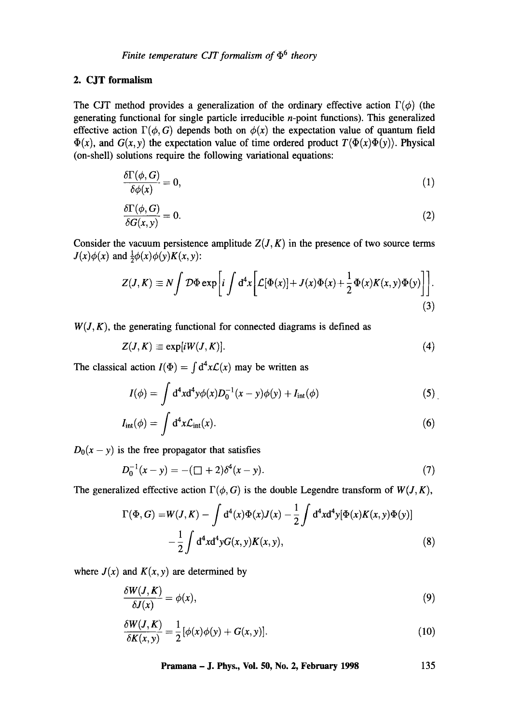## 2. CJT formalism

The CJT method provides a generalization of the ordinary effective action  $\Gamma(\phi)$  (the generating functional for single particle irreducible n-point functions). This generalized effective action  $\Gamma(\phi, G)$  depends both on  $\phi(x)$  the expectation value of quantum field  $\Phi(x)$ , and  $G(x, y)$  the expectation value of time ordered product  $T(\Phi(x)\Phi(y))$ . Physical (on-shell) solutions require the following variational equations:

$$
\frac{\delta \Gamma(\phi, G)}{\delta \phi(x)} = 0,\tag{1}
$$

$$
\frac{\delta \Gamma(\phi, G)}{\delta G(x, y)} = 0. \tag{2}
$$

Consider the vacuum persistence amplitude  $Z(J, K)$  in the presence of two source terms  $J(x)\phi(x)$  and  $\frac{1}{2}\phi(x)\phi(y)K(x, y)$ :

$$
Z(J,K) \equiv N \int \mathcal{D}\Phi \exp\left[i \int d^4x \left[\mathcal{L}[\Phi(x)] + J(x)\Phi(x) + \frac{1}{2}\Phi(x)K(x,y)\Phi(y)\right]\right].
$$
\n(3)

 $W(J, K)$ , the generating functional for connected diagrams is defined as

$$
Z(J,K) \equiv \exp[iW(J,K)]. \tag{4}
$$

The classical action  $I(\Phi) = \int d^4x \mathcal{L}(x)$  may be written as

$$
I(\phi) = \int d^4x d^4y \phi(x) D_0^{-1}(x - y) \phi(y) + I_{int}(\phi)
$$
 (5)

$$
I_{\rm int}(\phi) = \int d^4x \mathcal{L}_{\rm int}(x). \tag{6}
$$

 $D_0(x - y)$  is the free propagator that satisfies

$$
D_0^{-1}(x-y) = -(\Box + 2)\delta^4(x-y). \tag{7}
$$

The generalized effective action  $\Gamma(\phi, G)$  is the double Legendre transform of  $W(J, K)$ ,

$$
\Gamma(\Phi, G) = W(J, K) - \int d^4(x) \Phi(x) J(x) - \frac{1}{2} \int d^4x d^4y [\Phi(x) K(x, y) \Phi(y)] - \frac{1}{2} \int d^4x d^4y G(x, y) K(x, y),
$$
\n(8)

where  $J(x)$  and  $K(x, y)$  are determined by

$$
\frac{\delta W(J,K)}{\delta J(x)} = \phi(x),\tag{9}
$$

$$
\frac{\delta W(J,K)}{\delta K(x,y)} = \frac{1}{2} [\phi(x)\phi(y) + G(x,y)].
$$
\n(10)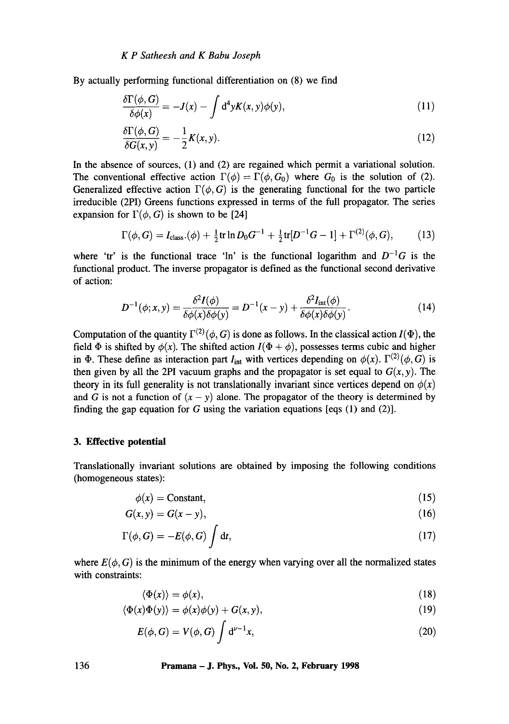By actually performing functional differentiation on (8) we find

$$
\frac{\delta\Gamma(\phi,G)}{\delta\phi(x)} = -J(x) - \int d^4y K(x,y)\phi(y),\tag{11}
$$

$$
\frac{\delta \Gamma(\phi, G)}{\delta G(x, y)} = -\frac{1}{2} K(x, y). \tag{12}
$$

In the absence of sources, (1) and (2) are regained which permit a variational solution. The conventional effective action  $\Gamma(\phi) = \Gamma(\phi, G_0)$  where  $G_0$  is the solution of (2). Generalized effective action  $\Gamma(\phi, G)$  is the generating functional for the two particle irreducible (2PI) Greens functions expressed in terms of the full propagator. The series expansion for  $\Gamma(\phi, G)$  is shown to be [24]

$$
\Gamma(\phi, G) = I_{\text{class}}(\phi) + \frac{1}{2} \text{tr} \ln D_0 G^{-1} + \frac{1}{2} \text{tr}[D^{-1}G - 1] + \Gamma^{(2)}(\phi, G), \tag{13}
$$

where 'tr' is the functional trace 'ln' is the functional logarithm and  $D^{-1}G$  is the functional product. The inverse propagator is defined as the functional second derivative of action:

$$
D^{-1}(\phi; x, y) = \frac{\delta^2 I(\phi)}{\delta \phi(x) \delta \phi(y)} = D^{-1}(x - y) + \frac{\delta^2 I_{\text{int}}(\phi)}{\delta \phi(x) \delta \phi(y)}.
$$
 (14)

Computation of the quantity  $\Gamma^{(2)}(\phi, G)$  is done as follows. In the classical action  $I(\Phi)$ , the field  $\Phi$  is shifted by  $\phi(x)$ . The shifted action  $I(\Phi + \phi)$ , possesses terms cubic and higher in  $\Phi$ . These define as interaction part  $I_{int}$  with vertices depending on  $\phi(x)$ .  $\Gamma^{(2)}(\phi, G)$  is then given by all the 2PI vacuum graphs and the propagator is set equal to  $G(x, y)$ . The theory in its full generality is not translationally invariant since vertices depend on  $\phi(x)$ and G is not a function of  $(x - y)$  alone. The propagator of the theory is determined by finding the gap equation for G using the variation equations [eqs  $(1)$  and  $(2)$ ].

## **3. Effective potential**

**Translationally invariant solutions are obtained by imposing the following conditions (homogeneous states):** 

$$
\phi(x) = \text{Constant},\tag{15}
$$

$$
G(x, y) = G(x - y),\tag{16}
$$

$$
\Gamma(\phi, G) = -E(\phi, G) \int \mathrm{d}t,\tag{17}
$$

where  $E(\phi, G)$  is the minimum of the energy when varying over all the normalized states with constraints:

$$
\langle \Phi(x) \rangle = \phi(x),\tag{18}
$$

$$
\langle \Phi(x)\Phi(y)\rangle = \phi(x)\phi(y) + G(x, y),\tag{19}
$$

$$
E(\phi, G) = V(\phi, G) \int d^{\nu - 1}x,\tag{20}
$$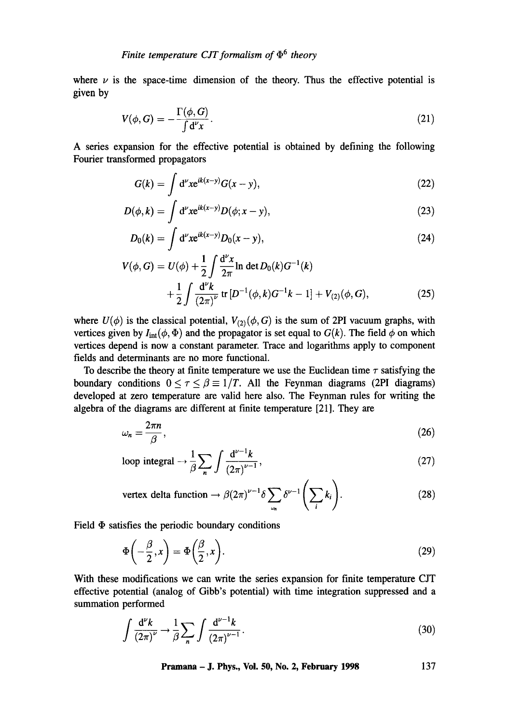where  $\nu$  is the space-time dimension of the theory. Thus the effective potential is given **by** 

$$
V(\phi, G) = -\frac{\Gamma(\phi, G)}{\int d^2 x}.
$$
\n(21)

A series expansion for the effective potential is obtained by defining the following Fourier transformed propagators

$$
G(k) = \int d^{\nu} x e^{ik(x-y)} G(x-y), \qquad (22)
$$

$$
D(\phi,k) = \int d^{\nu}x e^{ik(x-y)}D(\phi;x-y), \qquad (23)
$$

$$
D_0(k) = \int d^{\nu} x e^{ik(x-y)} D_0(x-y), \qquad (24)
$$

$$
V(\phi, G) = U(\phi) + \frac{1}{2} \int \frac{d^{\nu}x}{2\pi} \ln \det D_0(k) G^{-1}(k)
$$
  
+ 
$$
\frac{1}{2} \int \frac{d^{\nu}k}{(2\pi)^{\nu}} \text{ tr} \left[ D^{-1}(\phi, k) G^{-1}k - 1 \right] + V_{(2)}(\phi, G), \tag{25}
$$

where  $U(\phi)$  is the classical potential,  $V_{(2)}(\phi, G)$  is the sum of 2PI vacuum graphs, with vertices given by  $I_{int}(\phi, \Phi)$  and the propagator is set equal to  $G(k)$ . The field  $\phi$  on which vertices depend is now a constant parameter. Trace and logarithms apply to component fields and determinants are no more functional.

To describe the theory at finite temperature we use the Euclidean time  $\tau$  satisfying the boundary conditions  $0 \le \tau \le \beta \equiv 1/T$ . All the Feynman diagrams (2PI diagrams) developed at zero temperature are valid here also. The Feynman rules for writing the algebra of the diagrams are different at finite temperature [21]. They are

$$
\omega_n = \frac{2\pi n}{\beta},\tag{26}
$$

loop integral 
$$
\rightarrow \frac{1}{\beta} \sum_{n} \int \frac{d^{\nu-1}k}{(2\pi)^{\nu-1}},
$$
 (27)

vertex delta function 
$$
\rightarrow \beta(2\pi)^{\nu-1} \delta \sum_{\omega_n} \delta^{\nu-1} \left( \sum_i k_i \right).
$$
 (28)

Field  $\Phi$  satisfies the periodic boundary conditions

$$
\Phi\left(-\frac{\beta}{2},x\right) = \Phi\left(\frac{\beta}{2},x\right). \tag{29}
$$

With these modifications we can write the series expansion for finite temperature CJT effective potential (analog of Gibb's potential) with time integration suppressed and a summation performed

$$
\int \frac{\mathrm{d}^{\nu}k}{(2\pi)^{\nu}} \to \frac{1}{\beta} \sum_{n} \int \frac{\mathrm{d}^{\nu-1}k}{(2\pi)^{\nu-1}}.
$$
\n(30)

**Pramana - J. Phys., Voi. 50, No. 2, February 1998 137**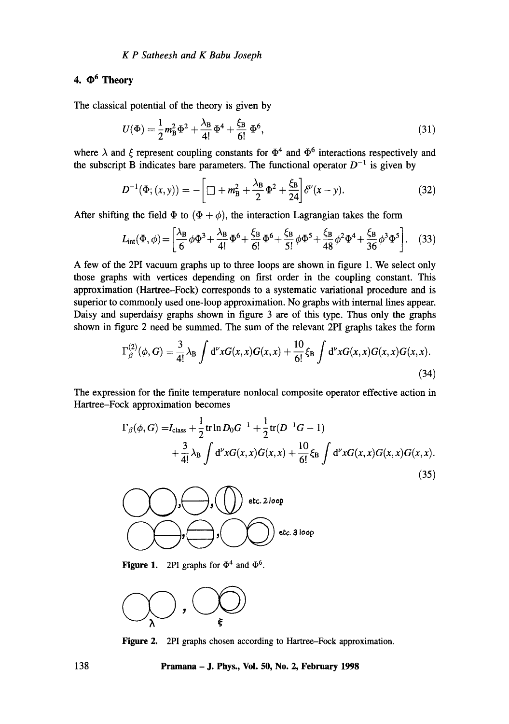## *K P Satheesh and K Babu Joseph*

## 4.  $\Phi^6$  Theory

The classical potential of the theory is given by

$$
U(\Phi) = \frac{1}{2}m_B^2 \Phi^2 + \frac{\lambda_B}{4!} \Phi^4 + \frac{\xi_B}{6!} \Phi^6,
$$
\n(31)

where  $\lambda$  and  $\xi$  represent coupling constants for  $\Phi^4$  and  $\Phi^6$  interactions respectively and the subscript B indicates bare parameters. The functional operator  $D^{-1}$  is given by

$$
D^{-1}(\Phi; (x, y)) = -\left[\Box + m_{\rm B}^2 + \frac{\lambda_{\rm B}}{2}\Phi^2 + \frac{\xi_{\rm B}}{24}\right]\delta^{\nu}(x - y). \tag{32}
$$

After shifting the field  $\Phi$  to  $(\Phi + \phi)$ , the interaction Lagrangian takes the form

$$
L_{int}(\Phi,\phi) = \left[\frac{\lambda_B}{6}\phi\Phi^3 + \frac{\lambda_B}{4!}\Phi^6 + \frac{\xi_B}{6!}\Phi^6 + \frac{\xi_B}{5!}\phi\Phi^5 + \frac{\xi_B}{48}\phi^2\Phi^4 + \frac{\xi_B}{36}\phi^3\Phi^5\right].
$$
 (33)

A few of the 2PI vacuum graphs up to three loops are shown in figure 1. We select only those graphs with vertices depending on first order in the coupling constant. This approximation (Hartree-Fock) corresponds to a systematic variational procedure and is superior to commonly used one-loop approximation. No graphs with internal lines appear. Daisy and superdaisy graphs shown in figure 3 are of this type. Thus only the graphs shown in figure 2 need be summed. The sum of the relevant 2PI graphs takes the form

$$
\Gamma_{\beta}^{(2)}(\phi, G) = \frac{3}{4!} \lambda_{\text{B}} \int d^{\nu}x G(x, x) G(x, x) + \frac{10}{6!} \xi_{\text{B}} \int d^{\nu}x G(x, x) G(x, x) G(x, x). \tag{34}
$$

The expression for the finite temperature nonlocal composite operator effective action in Hartree-Fock approximation becomes

$$
\Gamma_{\beta}(\phi, G) = I_{\text{class}} + \frac{1}{2} \text{tr} \ln D_0 G^{-1} + \frac{1}{2} \text{tr} (D^{-1} G - 1) + \frac{3}{4!} \lambda_{\text{B}} \int d^{\nu} x G(x, x) G(x, x) + \frac{10}{6!} \xi_{\text{B}} \int d^{\nu} x G(x, x) G(x, x) G(x, x).
$$
\n(35)



**Figure 1.** 2PI graphs for  $\Phi^4$  and  $\Phi^6$ .



Figure 2. 2PI graphs chosen according to Hartree-Fock approximation.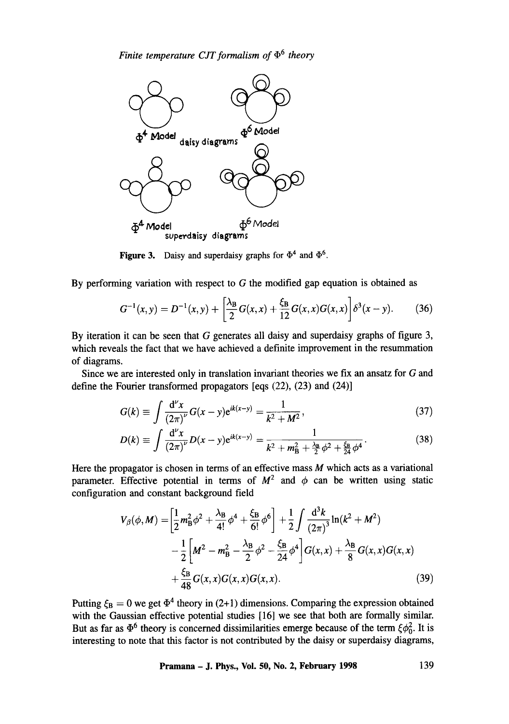

**Figure 3.** Daisy and superdaisy graphs for  $\Phi^4$  and  $\Phi^6$ .

By performing variation with respect to  $G$  the modified gap equation is obtained as

$$
G^{-1}(x,y) = D^{-1}(x,y) + \left[\frac{\lambda_B}{2}G(x,x) + \frac{\xi_B}{12}G(x,x)G(x,x)\right]\delta^3(x-y). \tag{36}
$$

By iteration it can be seen that G generates all daisy and superdaisy graphs of figure 3, which reveals the fact that we have achieved a definite improvement in the resummation of diagrams.

Since we are interested only in translation invariant theories we fix an ansatz for G and define the Fourier transformed propagators [eqs (22), (23) and (24)]

$$
G(k) \equiv \int \frac{d^{\nu}x}{(2\pi)^{\nu}} G(x - y) e^{ik(x - y)} = \frac{1}{k^2 + M^2},
$$
\n(37)

$$
D(k) \equiv \int \frac{\mathrm{d}^{\nu} x}{(2\pi)^{\nu}} D(x-y) e^{ik(x-y)} = \frac{1}{k^2 + m_{\rm B}^2 + \frac{\lambda_{\rm B}}{2} \phi^2 + \frac{\xi_{\rm B}}{2} \phi^4}.
$$
 (38)

Here the propagator is chosen in terms of an effective mass  $M$  which acts as a variational parameter. Effective potential in terms of  $M^2$  and  $\phi$  can be written using static configuration and constant background field

$$
V_{\beta}(\phi, M) = \left[\frac{1}{2}m_{\rm B}^2\phi^2 + \frac{\lambda_{\rm B}}{4!}\phi^4 + \frac{\xi_{\rm B}}{6!}\phi^6\right] + \frac{1}{2}\int \frac{\mathrm{d}^3k}{(2\pi)^3}\ln(k^2 + M^2) - \frac{1}{2}\left[M^2 - m_{\rm B}^2 - \frac{\lambda_{\rm B}}{2}\phi^2 - \frac{\xi_{\rm B}}{24}\phi^4\right]G(x, x) + \frac{\lambda_{\rm B}}{8}G(x, x)G(x, x) + \frac{\xi_{\rm B}}{48}G(x, x)G(x, x)G(x, x).
$$
 (39)

Putting  $\xi_B = 0$  we get  $\Phi^4$  theory in (2+1) dimensions. Comparing the expression obtained with the Gaussian effective potential studies [16] we see that both are formally similar. But as far as  $\Phi^6$  theory is concerned dissimilarities emerge because of the term  $\zeta \phi_0^2$ . It is interesting to note that this factor is not contributed by the daisy or superdaisy diagrams,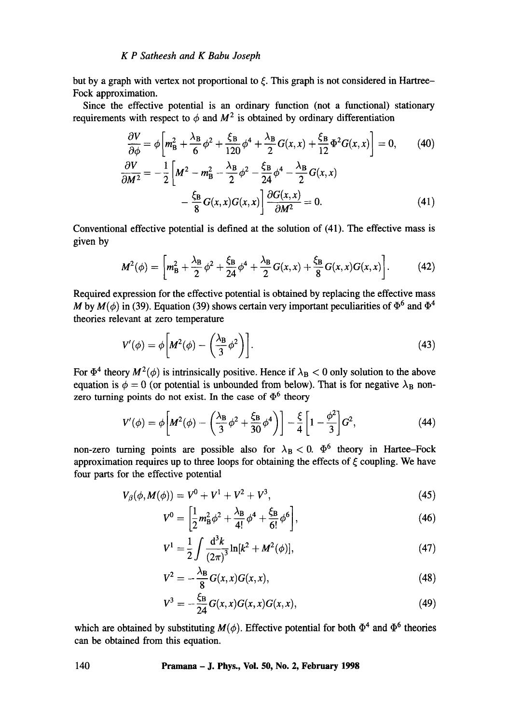but by a graph with vertex not proportional to  $\xi$ . This graph is not considered in Hartree-Fock approximation.

Since the effective potential is an ordinary function (not a functional) stationary requirements with respect to  $\phi$  and  $M^2$  is obtained by ordinary differentiation

$$
\frac{\partial V}{\partial \phi} = \phi \left[ m_{\rm B}^2 + \frac{\lambda_{\rm B}}{6} \phi^2 + \frac{\xi_{\rm B}}{120} \phi^4 + \frac{\lambda_{\rm B}}{2} G(x, x) + \frac{\xi_{\rm B}}{12} \Phi^2 G(x, x) \right] = 0, \qquad (40)
$$
  

$$
\frac{\partial V}{\partial M^2} = -\frac{1}{2} \left[ M^2 - m_{\rm B}^2 - \frac{\lambda_{\rm B}}{2} \phi^2 - \frac{\xi_{\rm B}}{24} \phi^4 - \frac{\lambda_{\rm B}}{2} G(x, x) \right]
$$

$$
-\frac{\xi_B}{8}G(x,x)G(x,x)\frac{\partial G(x,x)}{\partial M^2}=0.
$$
\n(41)

Conventional effective potential is defined at the solution of (41). The effective mass is given by

$$
M^{2}(\phi) = \left[ m_{\rm B}^{2} + \frac{\lambda_{\rm B}}{2} \phi^{2} + \frac{\xi_{\rm B}}{24} \phi^{4} + \frac{\lambda_{\rm B}}{2} G(x, x) + \frac{\xi_{\rm B}}{8} G(x, x) G(x, x) \right].
$$
 (42)

Required expression for the effective potential is obtained by replacing the effective mass M by  $M(\phi)$  in (39). Equation (39) shows certain very important peculiarities of  $\Phi^6$  and  $\Phi^4$ theories relevant at zero temperature

$$
V'(\phi) = \phi \left[ M^2(\phi) - \left( \frac{\lambda_B}{3} \phi^2 \right) \right].
$$
 (43)

For  $\Phi^4$  theory  $M^2(\phi)$  is intrinsically positive. Hence if  $\lambda_B < 0$  only solution to the above equation is  $\phi = 0$  (or potential is unbounded from below). That is for negative  $\lambda_B$  nonzero turning points do not exist. In the case of  $\Phi^6$  theory

$$
V'(\phi) = \phi \left[ M^2(\phi) - \left( \frac{\lambda_B}{3} \phi^2 + \frac{\xi_B}{30} \phi^4 \right) \right] - \frac{\xi}{4} \left[ 1 - \frac{\phi^2}{3} \right] G^2,\tag{44}
$$

non-zero turning points are possible also for  $\lambda_B < 0$ .  $\Phi^6$  theory in Hartee-Fock approximation requires up to three loops for obtaining the effects of  $\xi$  coupling. We have four parts for the effective potential

$$
V_{\beta}(\phi, M(\phi)) = V^0 + V^1 + V^2 + V^3, \tag{45}
$$

$$
V^{0} = \left[\frac{1}{2}m_{\rm B}^{2}\phi^{2} + \frac{\lambda_{\rm B}}{4!}\phi^{4} + \frac{\xi_{\rm B}}{6!}\phi^{6}\right],\tag{46}
$$

$$
V^{1} = \frac{1}{2} \int \frac{d^{3}k}{(2\pi)^{3}} \ln[k^{2} + M^{2}(\phi)],
$$
 (47)

$$
V^2 = -\frac{\lambda_B}{8} G(x, x) G(x, x), \qquad (48)
$$

$$
V^3 = -\frac{\xi_B}{24}G(x, x)G(x, x)G(x, x), \qquad (49)
$$

which are obtained by substituting  $M(\phi)$ . Effective potential for both  $\Phi^4$  and  $\Phi^6$  theories can be obtained from this equation.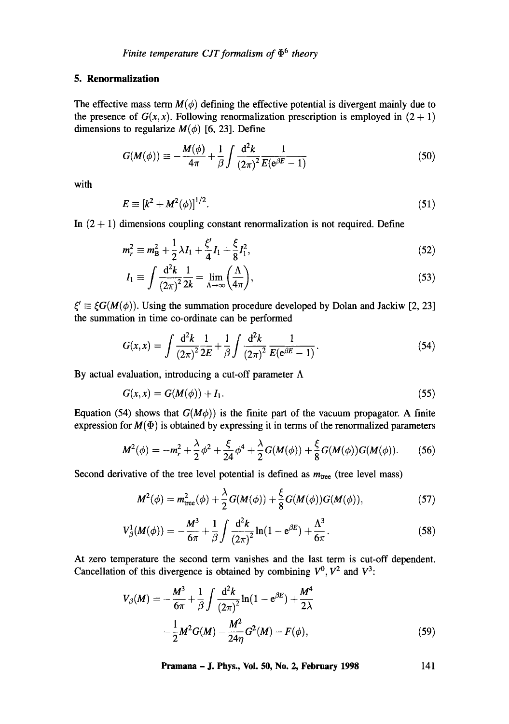## **5. Renormalization**

The effective mass term  $M(\phi)$  defining the effective potential is divergent mainly due to the presence of  $G(x, x)$ . Following renormalization prescription is employed in  $(2 + 1)$ dimensions to regularize  $M(\phi)$  [6, 23]. Define

$$
G(M(\phi)) \equiv -\frac{M(\phi)}{4\pi} + \frac{1}{\beta} \int \frac{\mathrm{d}^2 k}{\left(2\pi\right)^2} \frac{1}{E(\mathrm{e}^{\beta E} - 1)}\tag{50}
$$

with

$$
E = [k^2 + M^2(\phi)]^{1/2}.
$$
 (51)

In  $(2 + 1)$  dimensions coupling constant renormalization is not required. Define

$$
m_r^2 \equiv m_B^2 + \frac{1}{2}\lambda I_1 + \frac{\xi'}{4}I_1 + \frac{\xi}{8}I_1^2,\tag{52}
$$

$$
I_1 \equiv \int \frac{\mathrm{d}^2 k}{(2\pi)^2} \frac{1}{2k} = \lim_{\Lambda \to \infty} \left( \frac{\Lambda}{4\pi} \right),\tag{53}
$$

 $\zeta' \equiv \xi G(M(\phi))$ . Using the summation procedure developed by Dolan and Jackiw [2, 23] the summation in time co-ordinate can be performed

$$
G(x,x) = \int \frac{\mathrm{d}^2 k}{(2\pi)^2} \frac{1}{2E} + \frac{1}{\beta} \int \frac{\mathrm{d}^2 k}{(2\pi)^2} \frac{1}{E(\mathrm{e}^{\beta E} - 1)}.
$$
 (54)

By actual evaluation, introducing a cut-off parameter  $\Lambda$ 

$$
G(x, x) = G(M(\phi)) + I_1.
$$
 (55)

Equation (54) shows that  $G(M\phi)$ ) is the finite part of the vacuum propagator. A finite expression for  $M(\Phi)$  is obtained by expressing it in terms of the renormalized parameters

$$
M^{2}(\phi) = -m_{r}^{2} + \frac{\lambda}{2}\phi^{2} + \frac{\xi}{24}\phi^{4} + \frac{\lambda}{2}G(M(\phi)) + \frac{\xi}{8}G(M(\phi))G(M(\phi)).
$$
 (56)

Second derivative of the tree level potential is defined as  $m_{\text{tree}}$  (tree level mass)

$$
M^{2}(\phi) = m_{\text{tree}}^{2}(\phi) + \frac{\lambda}{2}G(M(\phi)) + \frac{\xi}{8}G(M(\phi))G(M(\phi)), \qquad (57)
$$

$$
V_{\beta}^{1}(M(\phi)) = -\frac{M^{3}}{6\pi} + \frac{1}{\beta} \int \frac{d^{2}k}{(2\pi)^{2}} \ln(1 - e^{\beta E}) + \frac{\Lambda^{3}}{6\pi}.
$$
 (58)

At zero temperature the second term vanishes and the last term is cut-off dependent. Cancellation of this divergence is obtained by combining  $V^0$ ,  $V^2$  and  $V^3$ :

$$
V_{\beta}(M) = -\frac{M^3}{6\pi} + \frac{1}{\beta} \int \frac{d^2 k}{(2\pi)^2} \ln(1 - e^{\beta E}) + \frac{M^4}{2\lambda} - \frac{1}{2} M^2 G(M) - \frac{M^2}{24\eta} G^2(M) - F(\phi),
$$
 (59)

**Pramana - J. Phys., Vol. 50, No. 2, February 1998 141**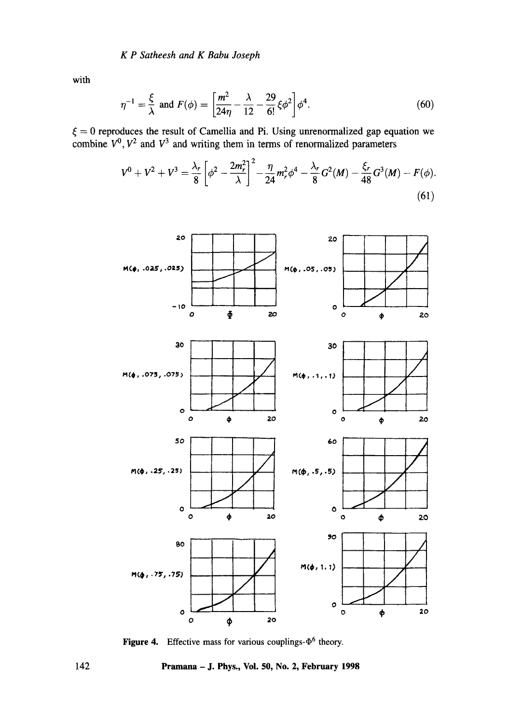**with** 

$$
\eta^{-1} = \frac{\xi}{\lambda} \text{ and } F(\phi) = \left[ \frac{m^2}{24\eta} - \frac{\lambda}{12} - \frac{29}{6!} \xi \phi^2 \right] \phi^4. \tag{60}
$$

 $\xi = 0$  reproduces the result of Camellia and Pi. Using unrenormalized gap equation we combine  $V^0$ ,  $V^2$  and  $V^3$  and writing them in terms of renormalized parameters  $\overline{a}$ 

$$
V^{0} + V^{2} + V^{3} = \frac{\lambda_{r}}{8} \left[ \phi^{2} - \frac{2m_{r}^{2}}{\lambda} \right]^{2} - \frac{\eta}{24} m_{r}^{2} \phi^{4} - \frac{\lambda_{r}}{8} G^{2}(M) - \frac{\xi_{r}}{48} G^{3}(M) - F(\phi).
$$
\n(61)



**Figure 4.** Effective mass for various couplings- $\Phi^6$  theory.

**142 Pramana - J. Phys., Vol. 50, No. 2, February 1998**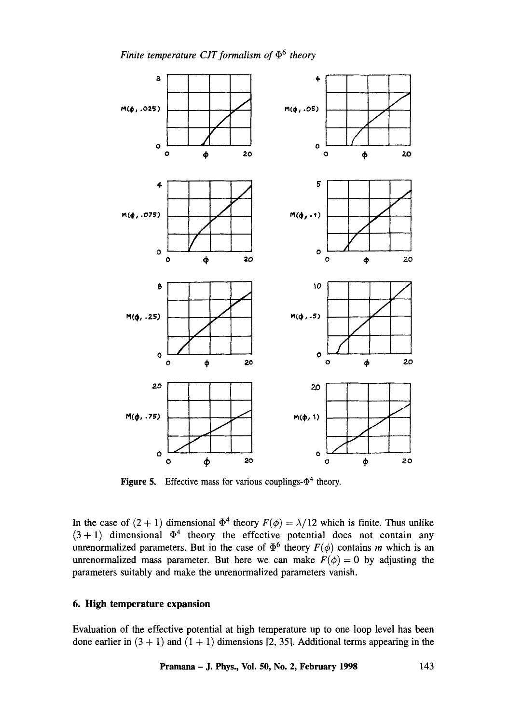

**Figure 5.** Effective mass for various couplings- $\Phi^4$  theory.

In the case of  $(2 + 1)$  dimensional  $\Phi^4$  theory  $F(\phi) = \lambda/12$  which is finite. Thus unlike  $(3 + 1)$  dimensional  $\Phi^4$  theory the effective potential does not contain any unrenormalized parameters. But in the case of  $\Phi^6$  theory  $F(\phi)$  contains m which is an unrenormalized mass parameter. But here we can make  $F(\phi)=0$  by adjusting the parameters suitably and make the unrenormalized parameters vanish.

## **6. High temperature expansion**

Evaluation of the effective potential at high temperature up to one loop level has been done earlier in  $(3 + 1)$  and  $(1 + 1)$  dimensions [2, 35]. Additional terms appearing in the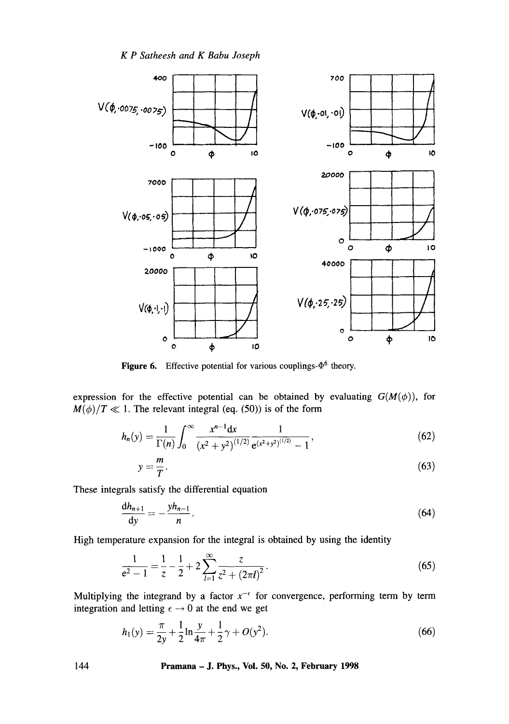*K P Satheesh and K Babu Joseph* 



**Figure 6.** Effective potential for various couplings- $\Phi^6$  theory.

expression for the effective potential can be obtained by evaluating  $G(M(\phi))$ , for  $M(\phi)/T \ll 1$ . The relevant integral (eq. (50)) is of the form

$$
h_n(y) = \frac{1}{\Gamma(n)} \int_0^\infty \frac{x^{n-1} dx}{\left(x^2 + y^2\right)^{(1/2)}} \frac{1}{e^{(x^2 + y^2)^{(1/2)}} - 1},\tag{62}
$$

$$
y = \frac{m}{T}.\tag{63}
$$

These integrals satisfy the differential equation

$$
\frac{\mathrm{d}h_{n+1}}{\mathrm{d}y} = -\frac{yh_{n-1}}{n}.\tag{64}
$$

High temperature expansion for the integral is obtained by using the identity

$$
\frac{1}{e^2 - 1} = \frac{1}{z} - \frac{1}{2} + 2 \sum_{l=1}^{\infty} \frac{z}{z^2 + (2\pi l)^2}.
$$
 (65)

Multiplying the integrand by a factor  $x^{-\epsilon}$  for convergence, performing term by term integration and letting  $\epsilon \rightarrow 0$  at the end we get

$$
h_1(y) = \frac{\pi}{2y} + \frac{1}{2} \ln \frac{y}{4\pi} + \frac{1}{2} \gamma + O(y^2).
$$
 (66)

**144 Pramana - J. Phys., Vol. 50, No. 2, February 1998**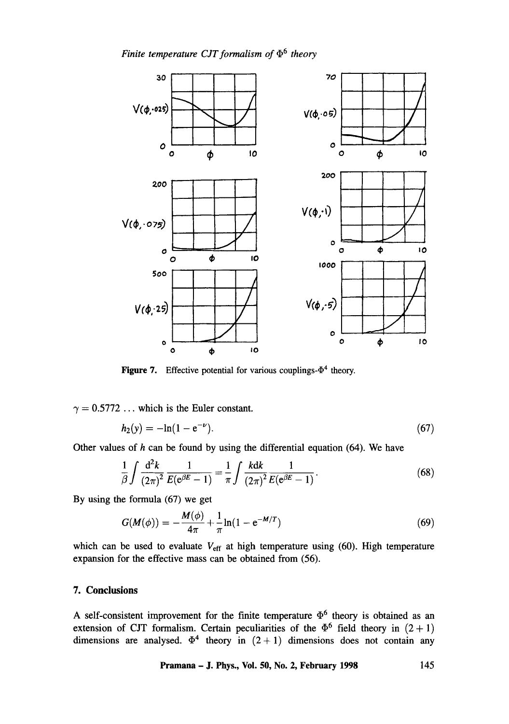

Figure 7. Effective potential for various couplings- $\Phi^4$  theory.

 $\gamma = 0.5772$  ... which is the Euler constant.

$$
h_2(y) = -\ln(1 - e^{-\nu}).\tag{67}
$$

Other values of  $h$  can be found by using the differential equation (64). We have

$$
\frac{1}{\beta} \int \frac{d^2 k}{(2\pi)^2} \frac{1}{E(e^{\beta E} - 1)} = \frac{1}{\pi} \int \frac{kdk}{(2\pi)^2} \frac{1}{E(e^{\beta E} - 1)}.
$$
 (68)

By using the formula (67) we get

$$
G(M(\phi)) = -\frac{M(\phi)}{4\pi} + \frac{1}{\pi} \ln(1 - e^{-M/T})
$$
\n(69)

which can be used to evaluate  $V_{\text{eff}}$  at high temperature using (60). High temperature expansion for the effective mass can be obtained from (56).

## **7. Conclusions**

A self-consistent improvement for the finite temperature  $\Phi^6$  theory is obtained as an extension of CJT formalism. Certain peculiarities of the  $\Phi^6$  field theory in  $(2 + 1)$ dimensions are analysed.  $\Phi^4$  theory in  $(2+1)$  dimensions does not contain any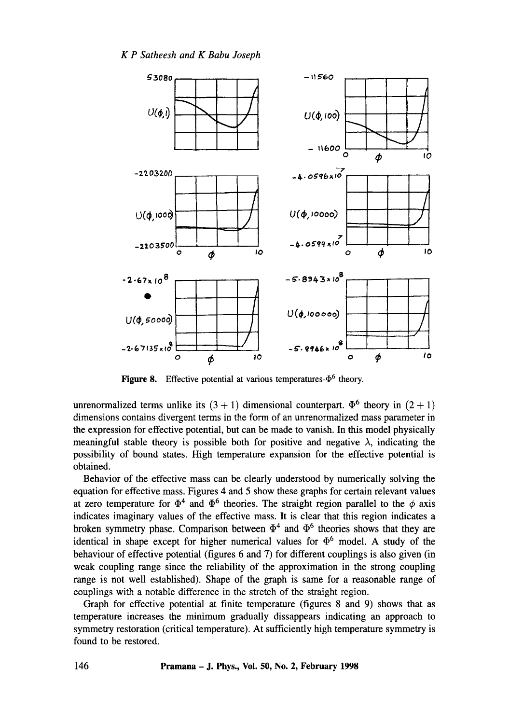

**Figure 8.** Effective potential at various temperatures- $\Phi^6$  theory.

unrenormalized terms unlike its  $(3 + 1)$  dimensional counterpart.  $\Phi^6$  theory in  $(2 + 1)$ dimensions contains divergent terms in the form of an unrenorrnalized mass parameter in the expression for effective potential, but can be made to vanish. In this model physically meaningful stable theory is possible both for positive and negative  $\lambda$ , indicating the possibility of bound states. High temperature expansion for the effective potential is obtained.

Behavior of the effective mass can be clearly understood by numerically solving the equation for effective mass. Figures 4 and 5 show these graphs for certain relevant values at zero temperature for  $\Phi^4$  and  $\Phi^6$  theories. The straight region parallel to the  $\phi$  axis indicates imaginary values of the effective mass. It is clear that this region indicates a broken symmetry phase. Comparison between  $\Phi^4$  and  $\Phi^6$  theories shows that they are identical in shape except for higher numerical values for  $\Phi^6$  model. A study of the behaviour of effective potential (figures 6 and 7) for different couplings is also given (in weak coupling range since the reliability of the approximation in the strong coupling range is not well established). Shape of the graph is same for a reasonable range of couplings with a notable difference in the stretch of the straight region.

Graph for effective potential at finite temperature (figures 8 and 9) shows that as temperature increases the minimum gradually dissappears indicating an approach to symmetry restoration (critical temperature). At sufficiently high temperature symmetry is found to be restored.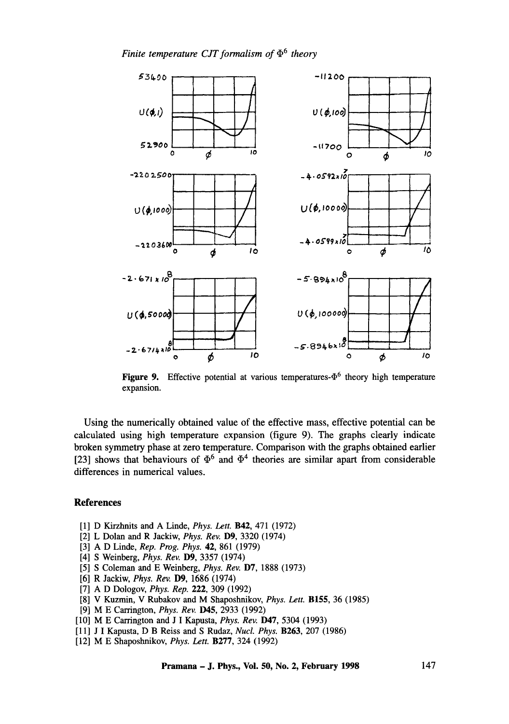

**Figure 9.** Effective potential at various temperatures- $\Phi^6$  theory high temperature expansion.

Using the numerically obtained value of the effective mass, effective potential can be calculated using high temperature expansion (figure 9). The graphs clearly indicate broken symmetry phase at zero temperature. Comparison with the graphs obtained earlier [23] shows that behaviours of  $\Phi^6$  and  $\Phi^4$  theories are similar apart from considerable differences in numerical values.

#### **References**

- [1] D Kirzhnits and A Linde, *Phys. Lett.* B42, 471 (1972)
- [2] L Dolan and R Jackiw, *Phys. Rev.* D9, 3320 (1974)
- [3] A D Linde, *Rep. Prog. Phys.* 42, 861 (1979)
- [4] S Weinberg, *Phys. Rev.* D9, 3357 (1974)
- [5] S Coleman and E Weinberg, *Phys. Rev.* D7, 1888 (1973)
- [6] R Jackiw, *Phys. Rev.* D9, 1686 (1974)
- [7] A D Dologov, *Phys. Rep.* 222, 309 (1992)
- [8] V Kuzmin, V Rubakov and M Shaposhnikov, *Phys. Len.* B155, 36 (1985)
- [9] M E Carrington, *Phys. Rev.* D45, 2933 (1992)
- [10] M E Carrington and J I Kapusta, *Phys. Rev.* **D47**, 5304 (1993)
- [11] J I Kapusta, D B Reiss and S Rudaz, *NucL Phys.* B263, 207 (1986)
- [12] M E Shaposhnikov, *Phys. Lett.* B277, 324 (1992)